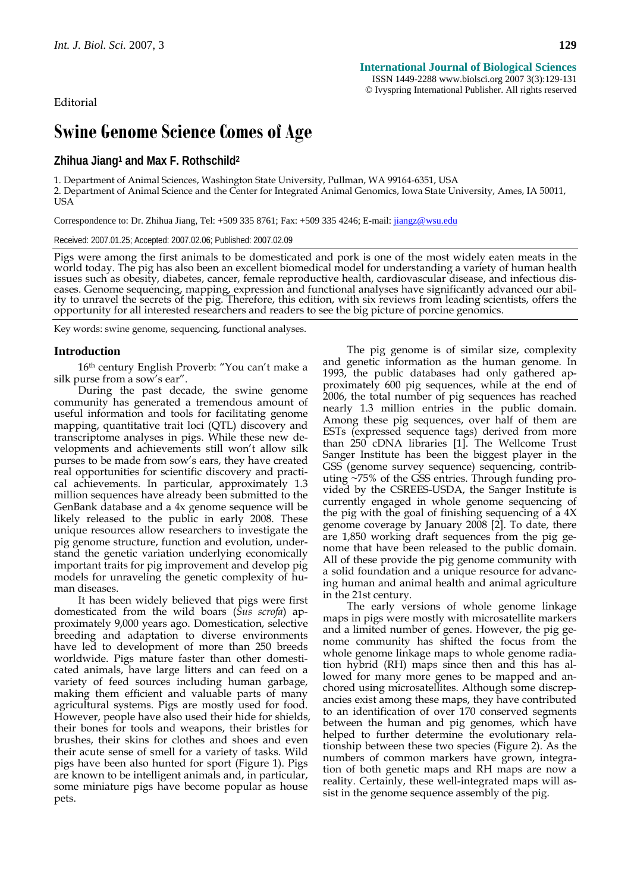# **Swine Genome Science Comes of Age**

# **Zhihua Jiang1 and Max F. Rothschild2**

1. Department of Animal Sciences, Washington State University, Pullman, WA 99164-6351, USA 2. Department of Animal Science and the Center for Integrated Animal Genomics, Iowa State University, Ames, IA 50011, **USA** 

Correspondence to: Dr. Zhihua Jiang, Tel: +509 335 8761; Fax: +509 335 4246; E-mail: jiangz@wsu.edu

Received: 2007.01.25; Accepted: 2007.02.06; Published: 2007.02.09

Pigs were among the first animals to be domesticated and pork is one of the most widely eaten meats in the world today. The pig has also been an excellent biomedical model for understanding a variety of human health issues such as obesity, diabetes, cancer, female reproductive health, cardiovascular disease, and infectious diseases. Genome sequencing, mapping, expression and functional analyses have significantly advanced our ability to unravel the secrets of the pig. Therefore, this edition, with six reviews from leading scientists, offers the opportunity for all interested researchers and readers to see the big picture of porcine genomics.

Key words: swine genome, sequencing, functional analyses.

## **Introduction**

16th century English Proverb: "You can't make a silk purse from a sow's ear".

During the past decade, the swine genome community has generated a tremendous amount of useful information and tools for facilitating genome mapping, quantitative trait loci (QTL) discovery and transcriptome analyses in pigs. While these new developments and achievements still won't allow silk purses to be made from sow's ears, they have created real opportunities for scientific discovery and practical achievements. In particular, approximately 1.3 million sequences have already been submitted to the GenBank database and a 4x genome sequence will be likely released to the public in early 2008. These unique resources allow researchers to investigate the pig genome structure, function and evolution, understand the genetic variation underlying economically important traits for pig improvement and develop pig models for unraveling the genetic complexity of human diseases.

It has been widely believed that pigs were first domesticated from the wild boars (*Sus scrofa*) approximately 9,000 years ago. Domestication, selective breeding and adaptation to diverse environments have led to development of more than 250 breeds worldwide. Pigs mature faster than other domesticated animals, have large litters and can feed on a variety of feed sources including human garbage, making them efficient and valuable parts of many agricultural systems. Pigs are mostly used for food. However, people have also used their hide for shields, their bones for tools and weapons, their bristles for brushes, their skins for clothes and shoes and even their acute sense of smell for a variety of tasks. Wild pigs have been also hunted for sport (Figure 1). Pigs are known to be intelligent animals and, in particular, some miniature pigs have become popular as house pets.

The pig genome is of similar size, complexity and genetic information as the human genome. In 1993, the public databases had only gathered approximately 600 pig sequences, while at the end of 2006, the total number of pig sequences has reached nearly 1.3 million entries in the public domain. Among these pig sequences, over half of them are ESTs (expressed sequence tags) derived from more than 250 cDNA libraries [1]. The Wellcome Trust Sanger Institute has been the biggest player in the GSS (genome survey sequence) sequencing, contributing ~75% of the GSS entries. Through funding provided by the CSREES-USDA, the Sanger Institute is currently engaged in whole genome sequencing of the pig with the goal of finishing sequencing of a 4X genome coverage by January 2008 [2]. To date, there are 1,850 working draft sequences from the pig genome that have been released to the public domain. All of these provide the pig genome community with a solid foundation and a unique resource for advancing human and animal health and animal agriculture in the 21st century.

The early versions of whole genome linkage maps in pigs were mostly with microsatellite markers and a limited number of genes. However, the pig genome community has shifted the focus from the whole genome linkage maps to whole genome radiation hybrid (RH) maps since then and this has allowed for many more genes to be mapped and anchored using microsatellites. Although some discrepancies exist among these maps, they have contributed to an identification of over 170 conserved segments between the human and pig genomes, which have helped to further determine the evolutionary relationship between these two species (Figure 2). As the numbers of common markers have grown, integration of both genetic maps and RH maps are now a reality. Certainly, these well-integrated maps will assist in the genome sequence assembly of the pig.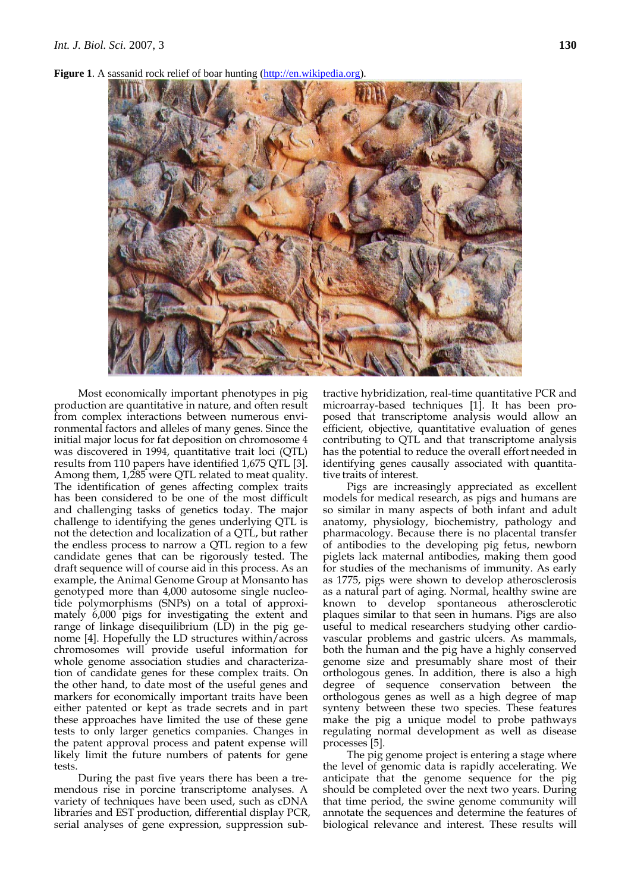# Figure 1. A sassanid rock relief of boar hunting (http://en.wikipedia.org).



Most economically important phenotypes in pig production are quantitative in nature, and often result from complex interactions between numerous environmental factors and alleles of many genes. Since the initial major locus for fat deposition on chromosome 4 was discovered in 1994, quantitative trait loci (QTL) results from 110 papers have identified 1,675 QTL [3]. Among them, 1,285 were QTL related to meat quality. The identification of genes affecting complex traits has been considered to be one of the most difficult and challenging tasks of genetics today. The major challenge to identifying the genes underlying QTL is not the detection and localization of a QTL, but rather the endless process to narrow a QTL region to a few candidate genes that can be rigorously tested. The draft sequence will of course aid in this process. As an example, the Animal Genome Group at Monsanto has genotyped more than 4,000 autosome single nucleotide polymorphisms (SNPs) on a total of approximately 6,000 pigs for investigating the extent and range of linkage disequilibrium (LD) in the pig genome [4]. Hopefully the LD structures within/across chromosomes will provide useful information for whole genome association studies and characterization of candidate genes for these complex traits. On the other hand, to date most of the useful genes and markers for economically important traits have been either patented or kept as trade secrets and in part these approaches have limited the use of these gene tests to only larger genetics companies. Changes in the patent approval process and patent expense will likely limit the future numbers of patents for gene tests.

During the past five years there has been a tremendous rise in porcine transcriptome analyses. A variety of techniques have been used, such as cDNA libraries and EST production, differential display PCR, serial analyses of gene expression, suppression sub-

tractive hybridization, real-time quantitative PCR and microarray-based techniques [1]. It has been proposed that transcriptome analysis would allow an efficient, objective, quantitative evaluation of genes contributing to QTL and that transcriptome analysis has the potential to reduce the overall effort needed in identifying genes causally associated with quantitative traits of interest.

Pigs are increasingly appreciated as excellent models for medical research, as pigs and humans are so similar in many aspects of both infant and adult anatomy, physiology, biochemistry, pathology and pharmacology. Because there is no placental transfer of antibodies to the developing pig fetus, newborn piglets lack maternal antibodies, making them good for studies of the mechanisms of immunity. As early as 1775, pigs were shown to develop atherosclerosis as a natural part of aging. Normal, healthy swine are known to develop spontaneous atherosclerotic plaques similar to that seen in humans. Pigs are also useful to medical researchers studying other cardiovascular problems and gastric ulcers. As mammals, both the human and the pig have a highly conserved genome size and presumably share most of their orthologous genes. In addition, there is also a high degree of sequence conservation between the orthologous genes as well as a high degree of map synteny between these two species. These features make the pig a unique model to probe pathways regulating normal development as well as disease processes [5].

The pig genome project is entering a stage where the level of genomic data is rapidly accelerating. We anticipate that the genome sequence for the pig should be completed over the next two years. During that time period, the swine genome community will annotate the sequences and determine the features of biological relevance and interest. These results will